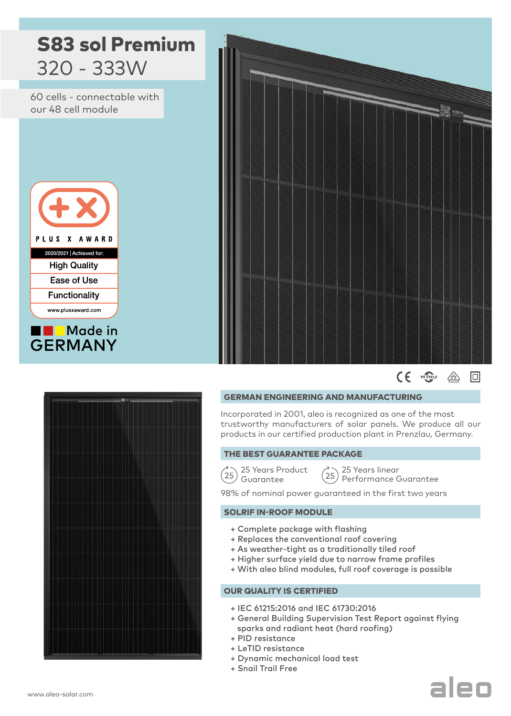



Incorporated in 2001, aleo is recognized as one of the most trustworthy manufacturers of solar panels. We produce all our products in our certified production plant in Prenzlau, Germany.

### THE BEST GUARANTEE PACKAGE

25 Years Product  $\left(25\right)\frac{25}{\text{Guarantee}}$ 

25 Years linear  $25$ Performance Guarantee

98% of nominal power guaranteed in the first two years

## SOLRIF IN-ROOF MODULE

- + Complete package with flashing
- + Replaces the conventional roof covering
- + As weather-tight as a traditionally tiled roof
- + Higher surface yield due to narrow frame profiles
- + With aleo blind modules, full roof coverage is possible

## OUR QUALITY IS CERTIFIED

- + IEC 61215:2016 and IEC 61730:2016
- + General Building Supervision Test Report against flying sparks and radiant heat (hard roofing)
- + PID resistance
- + LeTID resistance
- + Dynamic mechanical load test
- + Snail Trail Free